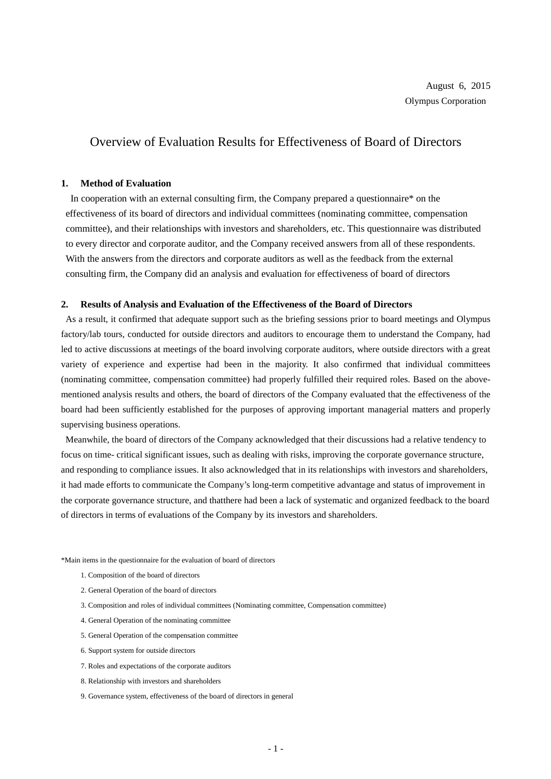## Overview of Evaluation Results for Effectiveness of Board of Directors

## **1. Method of Evaluation**

In cooperation with an external consulting firm, the Company prepared a questionnaire\* on the effectiveness of its board of directors and individual committees (nominating committee, compensation committee), and their relationships with investors and shareholders, etc. This questionnaire was distributed to every director and corporate auditor, and the Company received answers from all of these respondents. With the answers from the directors and corporate auditors as well as the feedback from the external consulting firm, the Company did an analysis and evaluation for effectiveness of board of directors

## **2. Results of Analysis and Evaluation of the Effectiveness of the Board of Directors**

As a result, it confirmed that adequate support such as the briefing sessions prior to board meetings and Olympus factory/lab tours, conducted for outside directors and auditors to encourage them to understand the Company, had led to active discussions at meetings of the board involving corporate auditors, where outside directors with a great variety of experience and expertise had been in the majority. It also confirmed that individual committees (nominating committee, compensation committee) had properly fulfilled their required roles. Based on the abovementioned analysis results and others, the board of directors of the Company evaluated that the effectiveness of the board had been sufficiently established for the purposes of approving important managerial matters and properly supervising business operations.

Meanwhile, the board of directors of the Company acknowledged that their discussions had a relative tendency to focus on time- critical significant issues, such as dealing with risks, improving the corporate governance structure, and responding to compliance issues. It also acknowledged that in its relationships with investors and shareholders, it had made efforts to communicate the Company's long-term competitive advantage and status of improvement in the corporate governance structure, and thatthere had been a lack of systematic and organized feedback to the board of directors in terms of evaluations of the Company by its investors and shareholders.

\*Main items in the questionnaire for the evaluation of board of directors

- 1. Composition of the board of directors
- 2. General Operation of the board of directors
- 3. Composition and roles of individual committees (Nominating committee, Compensation committee)
- 4. General Operation of the nominating committee
- 5. General Operation of the compensation committee
- 6. Support system for outside directors
- 7. Roles and expectations of the corporate auditors
- 8. Relationship with investors and shareholders
- 9. Governance system, effectiveness of the board of directors in general